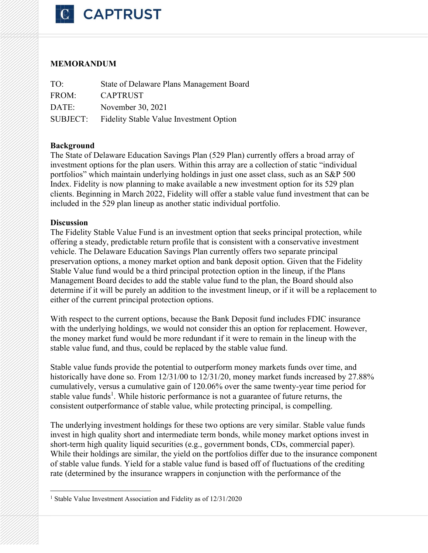

# **MEMORANDUM**

| TO:      | State of Delaware Plans Management Board       |
|----------|------------------------------------------------|
| FROM:    | <b>CAPTRUST</b>                                |
| DATE:    | November 30, 2021                              |
| SUBJECT: | <b>Fidelity Stable Value Investment Option</b> |

### **Background**

The State of Delaware Education Savings Plan (529 Plan) currently offers a broad array of investment options for the plan users. Within this array are a collection of static "individual portfolios" which maintain underlying holdings in just one asset class, such as an S&P 500 Index. Fidelity is now planning to make available a new investment option for its 529 plan clients. Beginning in March 2022, Fidelity will offer a stable value fund investment that can be included in the 529 plan lineup as another static individual portfolio.

#### **Discussion**

The Fidelity Stable Value Fund is an investment option that seeks principal protection, while offering a steady, predictable return profile that is consistent with a conservative investment vehicle. The Delaware Education Savings Plan currently offers two separate principal preservation options, a money market option and bank deposit option. Given that the Fidelity Stable Value fund would be a third principal protection option in the lineup, if the Plans Management Board decides to add the stable value fund to the plan, the Board should also determine if it will be purely an addition to the investment lineup, or if it will be a replacement to either of the current principal protection options.

With respect to the current options, because the Bank Deposit fund includes FDIC insurance with the underlying holdings, we would not consider this an option for replacement. However, the money market fund would be more redundant if it were to remain in the lineup with the stable value fund, and thus, could be replaced by the stable value fund.

Stable value funds provide the potential to outperform money markets funds over time, and historically have done so. From 12/31/00 to 12/31/20, money market funds increased by 27.88% cumulatively, versus a cumulative gain of 120.06% over the same twenty-year time period for stable value funds<sup>1</sup>. While historic performance is not a guarantee of future returns, the consistent outperformance of stable value, while protecting principal, is compelling.

The underlying investment holdings for these two options are very similar. Stable value funds invest in high quality short and intermediate term bonds, while money market options invest in short-term high quality liquid securities (e.g., government bonds, CDs, commercial paper). While their holdings are similar, the yield on the portfolios differ due to the insurance component of stable value funds. Yield for a stable value fund is based off of fluctuations of the crediting rate (determined by the insurance wrappers in conjunction with the performance of the

<sup>&</sup>lt;sup>1</sup> Stable Value Investment Association and Fidelity as of 12/31/2020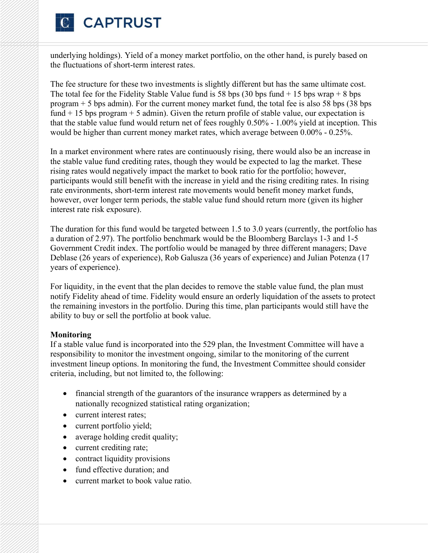

underlying holdings). Yield of a money market portfolio, on the other hand, is purely based on the fluctuations of short-term interest rates.

The fee structure for these two investments is slightly different but has the same ultimate cost. The total fee for the Fidelity Stable Value fund is 58 bps  $(30 \text{ bps fund} + 15 \text{ bps wrap} + 8 \text{ bps}$ program + 5 bps admin). For the current money market fund, the total fee is also 58 bps (38 bps fund  $+15$  bps program  $+5$  admin). Given the return profile of stable value, our expectation is that the stable value fund would return net of fees roughly 0.50% - 1.00% yield at inception. This would be higher than current money market rates, which average between 0.00% - 0.25%.

In a market environment where rates are continuously rising, there would also be an increase in the stable value fund crediting rates, though they would be expected to lag the market. These rising rates would negatively impact the market to book ratio for the portfolio; however, participants would still benefit with the increase in yield and the rising crediting rates. In rising rate environments, short-term interest rate movements would benefit money market funds, however, over longer term periods, the stable value fund should return more (given its higher interest rate risk exposure).

The duration for this fund would be targeted between 1.5 to 3.0 years (currently, the portfolio has a duration of 2.97). The portfolio benchmark would be the Bloomberg Barclays 1-3 and 1-5 Government Credit index. The portfolio would be managed by three different managers; Dave Deblase (26 years of experience), Rob Galusza (36 years of experience) and Julian Potenza (17 years of experience).

For liquidity, in the event that the plan decides to remove the stable value fund, the plan must notify Fidelity ahead of time. Fidelity would ensure an orderly liquidation of the assets to protect the remaining investors in the portfolio. During this time, plan participants would still have the ability to buy or sell the portfolio at book value.

#### **Monitoring**

If a stable value fund is incorporated into the 529 plan, the Investment Committee will have a responsibility to monitor the investment ongoing, similar to the monitoring of the current investment lineup options. In monitoring the fund, the Investment Committee should consider criteria, including, but not limited to, the following:

- financial strength of the guarantors of the insurance wrappers as determined by a nationally recognized statistical rating organization;
- current interest rates;
- current portfolio yield;
- average holding credit quality;
- current crediting rate;
- contract liquidity provisions
- fund effective duration; and
- current market to book value ratio.